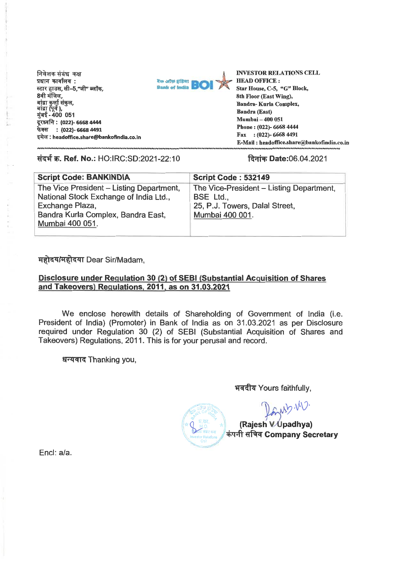

**INVESTOR RELATIONS CELL HEAD OFFICE : Star House, C-5, "G" Block, 8th Floor (East Wing), Bandra- Kurla Complex, Bandra (East) Mumbai — 400 051 Phone : (022)- 6668 4444 Fax : (022)- 6668 4491 E-Mail : headoffice.share@bankofindia.co.in headoffice.share@bankofindia.co.in**  HEAD OFFICE :<br>
Star House, C-5, "G" Bloom<br>
8th Floor (East Wing),<br>
Bandra- Kurla Complex,<br>
Bandra (East)<br>
Mumbai - 400 051<br>
Phone : (022)- 6668 4444

| निवेशक संबंध कक्ष<br>प्रधान कार्यालय:<br>बैंक ऑफ़ इंडिया<br>स्टार हाउस, सी–5,"जी" ब्लॉक,<br>8वी मंजिल,<br>बांद्रा कुर्ला संकुल,<br>बांद्रा (पूर्व ),<br>मुंबई - 400 051<br>दूरध्वनि: (022)- 6668 4444 | <b>INVESTOR RELATIONS CELL</b><br><b>HEAD OFFICE:</b><br>BO<br>Star House, C-5, "G" Block,<br>8th Floor (East Wing),<br>Bandra- Kurla Complex,<br><b>Bandra (East)</b><br><b>Mumbai – 400 051</b><br>Phone: (022)- 6668 4444 |  |  |
|-------------------------------------------------------------------------------------------------------------------------------------------------------------------------------------------------------|------------------------------------------------------------------------------------------------------------------------------------------------------------------------------------------------------------------------------|--|--|
| फेक्स : (022)- 6668 4491<br>इमेल : headoffice.share@bankofindia.co.in<br>संदर्भ क्र. Ref. No.: HO:IRC:SD:2021-22:10                                                                                   | Fax : $(022)$ - 6668 4491<br>E-Mail: headoffice.share@bankofindia.co.i<br>दिनांक Date:06.04.2021                                                                                                                             |  |  |
| <b>Script Code: BANKINDIA</b>                                                                                                                                                                         | <b>Script Code: 532149</b>                                                                                                                                                                                                   |  |  |
| The Vice President – Listing Department,<br>National Stock Exchange of India Ltd.,<br>Exchange Plaza,                                                                                                 | The Vice-President – Listing Department,<br>BSE Ltd.,<br>25, P.J. Towers, Dalal Street,<br>Mumbai 400 001.                                                                                                                   |  |  |

# .<br>महोदय/महोदया Dear Sir/Madam,

#### **Disclosure under Regulation 30 (2) of SEBI (Substantial Acquisition of Shares and Takeovers) Regulations. 2011, as on 31.03.2021 Regulations,**

We enclose herewith details of Shareholding of Government of India (i.e. President of India) (Promoter) in Bank of India as on 31.03.2021 as per Disclosure required under Regulation 30 (2) of SEBI (Substantial Acquisition of Shares and Takeovers) Regulations, 2011. This is for your perusal and record. vers) Regulations, 2011. This is for your perusal and record.<br>धन्यवाद Thanking you, WATRANG अवदीय Yours faithfully,

धन्यवाद Thanking you,

भवदीय Yours faithfully,

**INDY** 

(Rajesh V Upadhya)  $\sqrt{\dot{a}}$ कंपनी सचिव Company Secretary

End: a/a.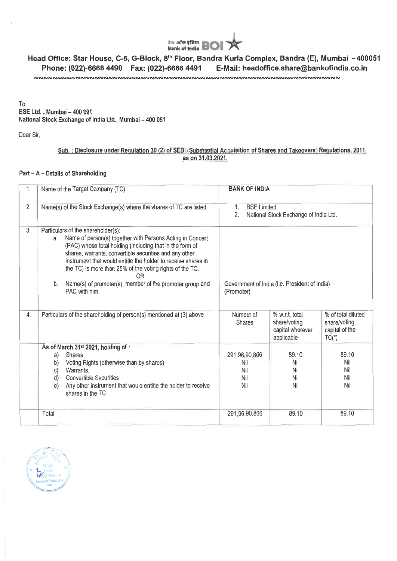

### Sub. : Disclosure under Regulation 30 (2) of SEBI (Substantial Acquisition of Shares and Takeovers) Regulations, 2011,<br>as on 31.03.2021.<br>Part – A – Details of Shareholding **as on 31.03.2021.**

#### **Part - A - Details of Shareholding**

|           | <b>The Strips of India BOI X</b>                                                                                                                                                                                                                                                                                                                                                                                                 |                                                                          |                                                                  |                                                                 |  |  |  |
|-----------|----------------------------------------------------------------------------------------------------------------------------------------------------------------------------------------------------------------------------------------------------------------------------------------------------------------------------------------------------------------------------------------------------------------------------------|--------------------------------------------------------------------------|------------------------------------------------------------------|-----------------------------------------------------------------|--|--|--|
|           | Head Office: Star House, C-5, G-Block, 8 <sup>th</sup> Floor, Bandra Kurla Complex, Bandra (E), Mumbai - 4000<br>Phone: (022)-6668 4490    Fax: (022)-6668 4491<br>E-Mail: headoffice.share@bankofindia.co.in<br>๛๛๛๛๛๛๛๛๛๛๛๛๛๛๛๛๛๛๛๛                                                                                                                                                                                            |                                                                          |                                                                  |                                                                 |  |  |  |
| To,       | BSE Ltd., Mumbai - 400 001<br>National Stock Exchange of India Ltd., Mumbai - 400 051                                                                                                                                                                                                                                                                                                                                            |                                                                          |                                                                  |                                                                 |  |  |  |
| Dear Sir, |                                                                                                                                                                                                                                                                                                                                                                                                                                  |                                                                          |                                                                  |                                                                 |  |  |  |
|           | Sub.: Disclosure under Regulation 30 (2) of SEBI (Substantial Acquisition of Shares and Takeovers) Regulations, 2011,                                                                                                                                                                                                                                                                                                            |                                                                          |                                                                  |                                                                 |  |  |  |
|           | as on 31.03.2021.<br>Part - A - Details of Shareholding                                                                                                                                                                                                                                                                                                                                                                          |                                                                          |                                                                  |                                                                 |  |  |  |
|           |                                                                                                                                                                                                                                                                                                                                                                                                                                  |                                                                          |                                                                  |                                                                 |  |  |  |
| 1.        | Name of the Target Company (TC)                                                                                                                                                                                                                                                                                                                                                                                                  | <b>BANK OF INDIA</b>                                                     |                                                                  |                                                                 |  |  |  |
| 2.        | Name(s) of the Stock Exchange(s) where the shares of TC are listed                                                                                                                                                                                                                                                                                                                                                               | <b>BSE Limited.</b><br>1.<br>2.<br>National Stock Exchange of India Ltd. |                                                                  |                                                                 |  |  |  |
| 3.        | Particulars of the shareholder(s):<br>Name of person(s) together with Persons Acting in Concert<br>а.<br>(PAC) whose total holding (including that in the form of<br>shares, warrants, convertible securities and any other<br>instrument that would entitle the holder to receive shares in<br>the TC) is more than 25% of the voting rights of the TC.<br>0R<br>Name(s) of promoter(s), member of the promoter group and<br>b. | Government of India (i.e. President of India)                            |                                                                  |                                                                 |  |  |  |
|           | PAC with him.                                                                                                                                                                                                                                                                                                                                                                                                                    | (Promoter)                                                               |                                                                  |                                                                 |  |  |  |
| 4.        | Particulars of the shareholding of person(s) mentioned at (3) above                                                                                                                                                                                                                                                                                                                                                              | Number of<br><b>Shares</b>                                               | % w.r.t. total<br>share/voting<br>capital wherever<br>applicable | % of total diluted<br>share/voting<br>capital of the<br>$TC(*)$ |  |  |  |
|           | As of March 31st 2021, holding of .<br><b>Shares</b><br>a)<br>Voting Rights (otherwise than by shares)<br>b)<br>Warrants,<br>C)<br><b>Convertible Securities</b><br>d)<br>Any other instrument that would entitle the holder to receive<br>e)<br>shares in the TC                                                                                                                                                                | 291,96,90,866<br>Nil<br>Nil<br>Nil<br>Nil                                | 89.10<br>Nil<br>Nil<br>Nil<br>Nil                                | 89.10<br>Nil<br>Nil<br>Nil<br>Nil                               |  |  |  |
|           | Total                                                                                                                                                                                                                                                                                                                                                                                                                            | 291,96,90,866                                                            | 89.10                                                            | 89.10                                                           |  |  |  |